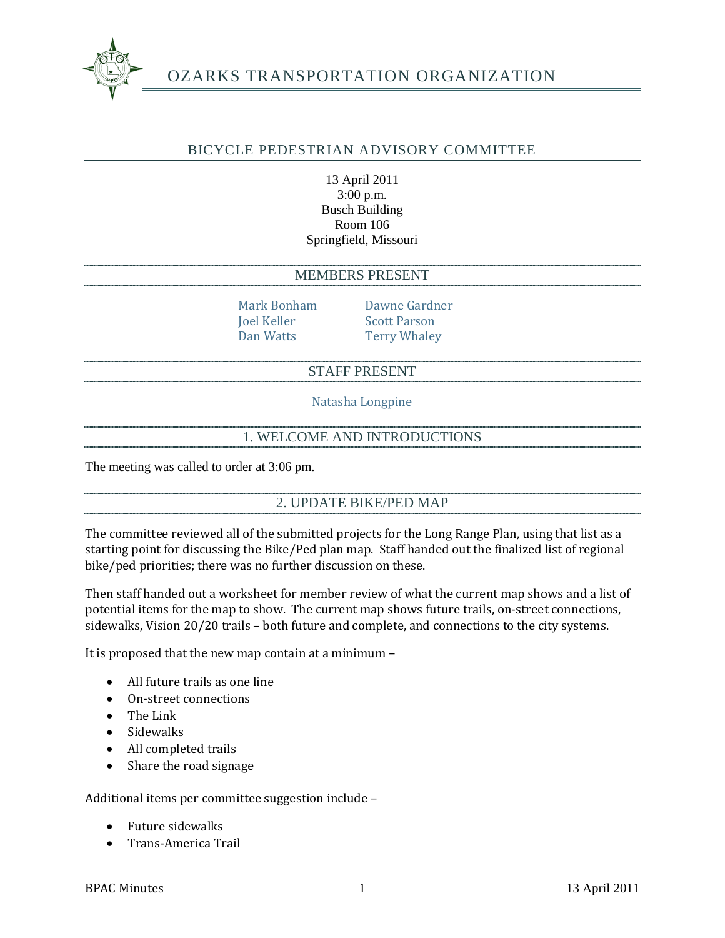

# OZARKS TRANSPORTATION ORGANIZATION

### BICYCLE PEDESTRIAN ADVISORY COMMITTEE

#### 13 April 2011 3:00 p.m. Busch Building Room 106 Springfield, Missouri

#### MEMBERS PRESENT

Mark Bonham Dawne Gardner Joel Keller Scott Parson Dan Watts **Terry Whaley** 

### STAFF PRESENT

Natasha Longpine

### 1. WELCOME AND INTRODUCTIONS

The meeting was called to order at 3:06 pm.

### 2. UPDATE BIKE/PED MAP

The committee reviewed all of the submitted projects for the Long Range Plan, using that list as a starting point for discussing the Bike/Ped plan map. Staff handed out the finalized list of regional bike/ped priorities; there was no further discussion on these.

Then staff handed out a worksheet for member review of what the current map shows and a list of potential items for the map to show. The current map shows future trails, on-street connections, sidewalks, Vision 20/20 trails – both future and complete, and connections to the city systems.

It is proposed that the new map contain at a minimum –

- All future trails as one line
- On-street connections
- The Link
- Sidewalks
- All completed trails
- Share the road signage

#### Additional items per committee suggestion include –

- Future sidewalks
- Trans-America Trail